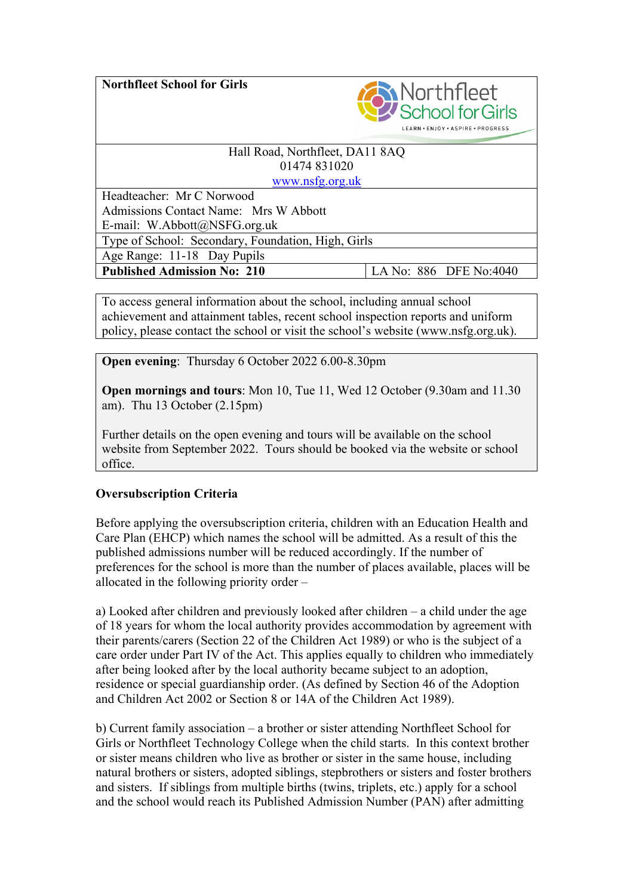**Northfleet School for Girls**



### Hall Road, Northfleet, DA11 8AQ 01474 831020 www.nsfg.org.uk

Headteacher: Mr C Norwood Admissions Contact Name: Mrs W Abbott E-mail: W.Abbott@NSFG.org.uk Type of School: Secondary, Foundation, High, Girls Age Range: 11-18 Day Pupils **Published Admission No: 210** LA No: 886 DFE No:4040

To access general information about the school, including annual school achievement and attainment tables, recent school inspection reports and uniform policy, please contact the school or visit the school's website (www.nsfg.org.uk).

**Open evening:** Thursday 6 October 2022 6.00-8.30pm

**Open mornings and tours**: Mon 10, Tue 11, Wed 12 October (9.30am and 11.30 am). Thu 13 October (2.15pm)

Further details on the open evening and tours will be available on the school website from September 2022. Tours should be booked via the website or school office.

# **Oversubscription Criteria**

Before applying the oversubscription criteria, children with an Education Health and Care Plan (EHCP) which names the school will be admitted. As a result of this the published admissions number will be reduced accordingly. If the number of preferences for the school is more than the number of places available, places will be allocated in the following priority order –

a) Looked after children and previously looked after children – a child under the age of 18 years for whom the local authority provides accommodation by agreement with their parents/carers (Section 22 of the Children Act 1989) or who is the subject of a care order under Part IV of the Act. This applies equally to children who immediately after being looked after by the local authority became subject to an adoption, residence or special guardianship order. (As defined by Section 46 of the Adoption and Children Act 2002 or Section 8 or 14A of the Children Act 1989).

b) Current family association – a brother or sister attending Northfleet School for Girls or Northfleet Technology College when the child starts. In this context brother or sister means children who live as brother or sister in the same house, including natural brothers or sisters, adopted siblings, stepbrothers or sisters and foster brothers and sisters. If siblings from multiple births (twins, triplets, etc.) apply for a school and the school would reach its Published Admission Number (PAN) after admitting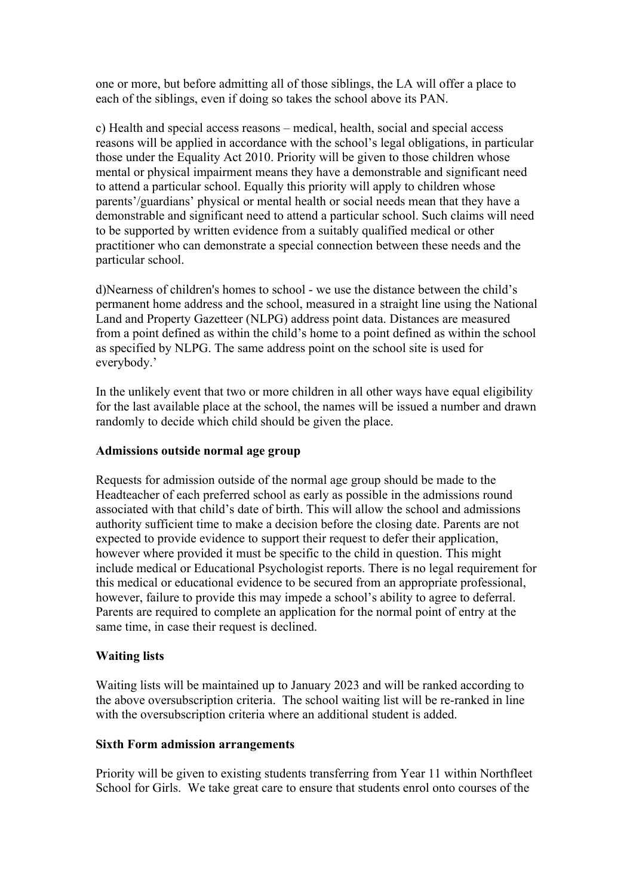one or more, but before admitting all of those siblings, the LA will offer a place to each of the siblings, even if doing so takes the school above its PAN.

c) Health and special access reasons – medical, health, social and special access reasons will be applied in accordance with the school's legal obligations, in particular those under the Equality Act 2010. Priority will be given to those children whose mental or physical impairment means they have a demonstrable and significant need to attend a particular school. Equally this priority will apply to children whose parents'/guardians' physical or mental health or social needs mean that they have a demonstrable and significant need to attend a particular school. Such claims will need to be supported by written evidence from a suitably qualified medical or other practitioner who can demonstrate a special connection between these needs and the particular school.

d)Nearness of children's homes to school - we use the distance between the child's permanent home address and the school, measured in a straight line using the National Land and Property Gazetteer (NLPG) address point data. Distances are measured from a point defined as within the child's home to a point defined as within the school as specified by NLPG. The same address point on the school site is used for everybody.'

In the unlikely event that two or more children in all other ways have equal eligibility for the last available place at the school, the names will be issued a number and drawn randomly to decide which child should be given the place.

### **Admissions outside normal age group**

Requests for admission outside of the normal age group should be made to the Headteacher of each preferred school as early as possible in the admissions round associated with that child's date of birth. This will allow the school and admissions authority sufficient time to make a decision before the closing date. Parents are not expected to provide evidence to support their request to defer their application, however where provided it must be specific to the child in question. This might include medical or Educational Psychologist reports. There is no legal requirement for this medical or educational evidence to be secured from an appropriate professional, however, failure to provide this may impede a school's ability to agree to deferral. Parents are required to complete an application for the normal point of entry at the same time, in case their request is declined.

# **Waiting lists**

Waiting lists will be maintained up to January 2023 and will be ranked according to the above oversubscription criteria. The school waiting list will be re-ranked in line with the oversubscription criteria where an additional student is added.

### **Sixth Form admission arrangements**

Priority will be given to existing students transferring from Year 11 within Northfleet School for Girls. We take great care to ensure that students enrol onto courses of the